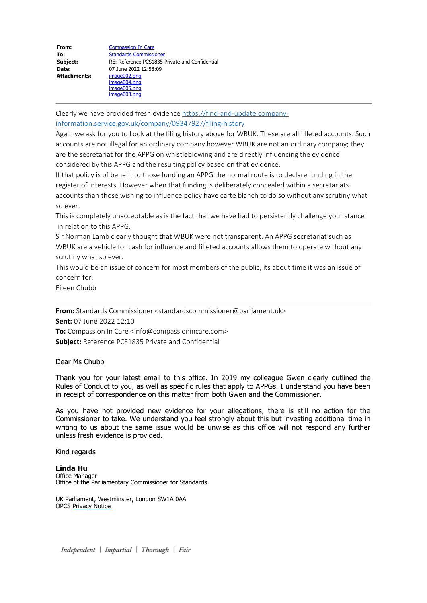| From:               | <b>Compassion In Care</b>                      |
|---------------------|------------------------------------------------|
| To:                 | <b>Standards Commissioner</b>                  |
| Subject:            | RE: Reference PCS1835 Private and Confidential |
| Date:               | 07 June 2022 12:58:09                          |
| <b>Attachments:</b> | image002.png                                   |
|                     | image004.png                                   |
|                     | image005.png                                   |
|                     | image003.png                                   |

Clearly we have provided fresh evidence [https://find-and-update.company](https://find-and-update.company-information.service.gov.uk/company/09347927/filing-history)[information.service.gov.uk/company/09347927/filing-history](https://find-and-update.company-information.service.gov.uk/company/09347927/filing-history)

Again we ask for you to Look at the filing history above for WBUK. These are all filleted accounts. Such accounts are not illegal for an ordinary company however WBUK are not an ordinary company; they are the secretariat for the APPG on whistleblowing and are directly influencing the evidence considered by this APPG and the resulting policy based on that evidence.

If that policy is of benefit to those funding an APPG the normal route is to declare funding in the register of interests. However when that funding is deliberately concealed within a secretariats accounts than those wishing to influence policy have carte blanch to do so without any scrutiny what so ever.

This is completely unacceptable as is the fact that we have had to persistently challenge your stance in relation to this APPG.

Sir Norman Lamb clearly thought that WBUK were not transparent. An APPG secretariat such as WBUK are a vehicle for cash for influence and filleted accounts allows them to operate without any scrutiny what so ever.

This would be an issue of concern for most members of the public, its about time it was an issue of concern for,

Eileen Chubb

**From:** Standards Commissioner <standardscommissioner@parliament.uk>

**Sent:** 07 June 2022 12:10

**To:** Compassion In Care <info@compassionincare.com>

**Subject:** Reference PCS1835 Private and Confidential

Dear Ms Chubb

Thank you for your latest email to this office. In 2019 my colleague Gwen clearly outlined the Rules of Conduct to you, as well as specific rules that apply to APPGs. I understand you have been in receipt of correspondence on this matter from both Gwen and the Commissioner.

As you have not provided new evidence for your allegations, there is still no action for the Commissioner to take. We understand you feel strongly about this but investing additional time in writing to us about the same issue would be unwise as this office will not respond any further unless fresh evidence is provided.

Kind regards

**Linda Hu** Office Manager Office of the Parliamentary Commissioner for Standards

UK Parliament, Westminster, London SW1A 0AA OPCS [Privacy Notice](https://www.parliament.uk/mps-lords-and-offices/standards-and-financial-interests/parliamentary-commissioner-for-standards/parliamentary-commissioner-for-standards/privacy-policy/)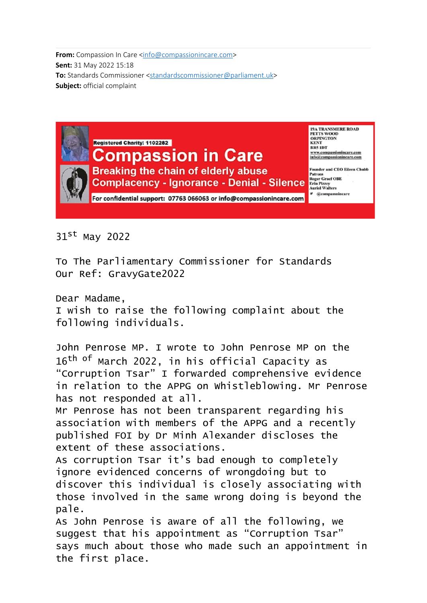**From:** Compassion In Care [<info@compassionincare.com](mailto:info@compassionincare.com)> **Sent:** 31 May 2022 15:18 **To:** Standards Commissioner [<standardscommissioner@parliament.uk](mailto:standardscommissioner@parliament.uk)> **Subject:** official complaint



31st May 2022

To The Parliamentary Commissioner for Standards Our Ref: GravyGate2022

Dear Madame,

I wish to raise the following complaint about the following individuals.

John Penrose MP. I wrote to John Penrose MP on the 16<sup>th of</sup> March 2022, in his official Capacity as "Corruption Tsar" I forwarded comprehensive evidence in relation to the APPG on Whistleblowing. Mr Penrose has not responded at all.

Mr Penrose has not been transparent regarding his association with members of the APPG and a recently published FOI by Dr Minh Alexander discloses the extent of these associations.

As corruption Tsar it's bad enough to completely ignore evidenced concerns of wrongdoing but to discover this individual is closely associating with those involved in the same wrong doing is beyond the pale.

As John Penrose is aware of all the following, we suggest that his appointment as "Corruption Tsar" says much about those who made such an appointment in the first place.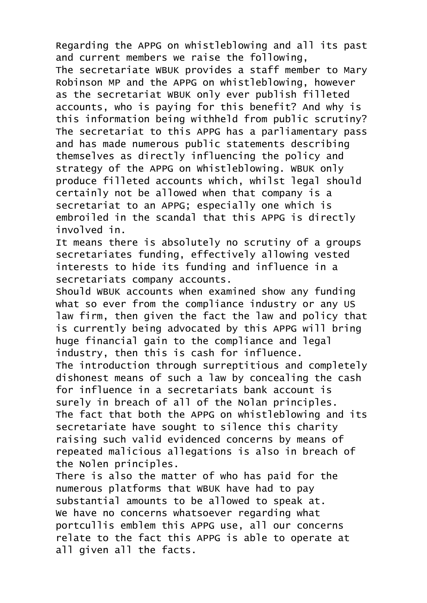Regarding the APPG on whistleblowing and all its past and current members we raise the following, The secretariate WBUK provides a staff member to Mary Robinson MP and the APPG on whistleblowing, however as the secretariat WBUK only ever publish filleted accounts, who is paying for this benefit? And why is this information being withheld from public scrutiny? The secretariat to this APPG has a parliamentary pass and has made numerous public statements describing themselves as directly influencing the policy and strategy of the APPG on Whistleblowing. WBUK only produce filleted accounts which, whilst legal should certainly not be allowed when that company is a secretariat to an APPG; especially one which is embroiled in the scandal that this APPG is directly involved in.

It means there is absolutely no scrutiny of a groups secretariates funding, effectively allowing vested interests to hide its funding and influence in a secretariats company accounts.

Should WBUK accounts when examined show any funding what so ever from the compliance industry or any US law firm, then given the fact the law and policy that is currently being advocated by this APPG will bring huge financial gain to the compliance and legal industry, then this is cash for influence. The introduction through surreptitious and completely dishonest means of such a law by concealing the cash for influence in a secretariats bank account is surely in breach of all of the Nolan principles. The fact that both the APPG on whistleblowing and its secretariate have sought to silence this charity raising such valid evidenced concerns by means of repeated malicious allegations is also in breach of the Nolen principles.

There is also the matter of who has paid for the numerous platforms that WBUK have had to pay substantial amounts to be allowed to speak at. We have no concerns whatsoever regarding what portcullis emblem this APPG use, all our concerns relate to the fact this APPG is able to operate at all given all the facts.